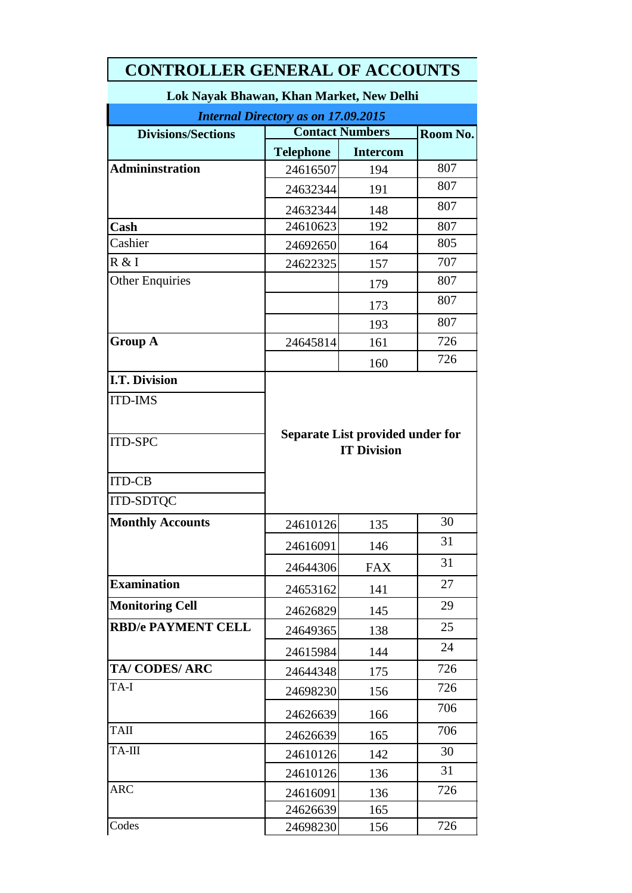| <u>UITIN</u>                                                                                                  |                    |                                  |     |  |  |  |
|---------------------------------------------------------------------------------------------------------------|--------------------|----------------------------------|-----|--|--|--|
| Lok Nayak Bhawan, Khan Market, New Delhi                                                                      |                    |                                  |     |  |  |  |
| <b>Internal Directory as on 17.09.2015</b><br><b>Contact Numbers</b><br><b>Divisions/Sections</b><br>Room No. |                    |                                  |     |  |  |  |
|                                                                                                               | <b>Telephone</b>   | <b>Intercom</b>                  |     |  |  |  |
| <b>Admininstration</b>                                                                                        | 24616507           | 194                              | 807 |  |  |  |
|                                                                                                               | 24632344           | 191                              | 807 |  |  |  |
|                                                                                                               | 24632344           | 148                              | 807 |  |  |  |
| Cash                                                                                                          | 24610623           | 192                              | 807 |  |  |  |
| Cashier                                                                                                       | 24692650           | 164                              | 805 |  |  |  |
| R & I                                                                                                         | 24622325           | 157                              | 707 |  |  |  |
| <b>Other Enquiries</b>                                                                                        |                    | 179                              | 807 |  |  |  |
|                                                                                                               |                    | 173                              | 807 |  |  |  |
|                                                                                                               |                    | 193                              | 807 |  |  |  |
| <b>Group A</b>                                                                                                | 24645814           | 161                              | 726 |  |  |  |
|                                                                                                               |                    | 160                              | 726 |  |  |  |
| <b>I.T. Division</b>                                                                                          |                    |                                  |     |  |  |  |
| <b>ITD-IMS</b>                                                                                                |                    |                                  |     |  |  |  |
|                                                                                                               |                    |                                  |     |  |  |  |
|                                                                                                               |                    | Separate List provided under for |     |  |  |  |
| <b>ITD-SPC</b>                                                                                                | <b>IT Division</b> |                                  |     |  |  |  |
|                                                                                                               |                    |                                  |     |  |  |  |
| <b>ITD-CB</b>                                                                                                 |                    |                                  |     |  |  |  |
| <b>ITD-SDTQC</b>                                                                                              |                    |                                  |     |  |  |  |
| <b>Monthly Accounts</b>                                                                                       | 24610126           | 135                              | 30  |  |  |  |
|                                                                                                               | 24616091           | 146                              | 31  |  |  |  |
|                                                                                                               | 24644306           | <b>FAX</b>                       | 31  |  |  |  |
| <b>Examination</b>                                                                                            | 24653162           | 141                              | 27  |  |  |  |
| <b>Monitoring Cell</b>                                                                                        | 24626829           | 145                              | 29  |  |  |  |
| <b>RBD/e PAYMENT CELL</b>                                                                                     | 24649365           | 138                              | 25  |  |  |  |
|                                                                                                               | 24615984           | 144                              | 24  |  |  |  |
| <b>TA/CODES/ARC</b>                                                                                           | 24644348           | 175                              | 726 |  |  |  |
| TA-I                                                                                                          | 24698230           | 156                              | 726 |  |  |  |
|                                                                                                               |                    |                                  | 706 |  |  |  |
| <b>TAII</b>                                                                                                   | 24626639           | 166                              | 706 |  |  |  |
|                                                                                                               | 24626639           | 165                              |     |  |  |  |
| TA-III                                                                                                        | 24610126           | 142                              | 30  |  |  |  |
|                                                                                                               | 24610126           | 136                              | 31  |  |  |  |
| <b>ARC</b>                                                                                                    | 24616091           | 136                              | 726 |  |  |  |
| Codes                                                                                                         | 24626639           | 165                              |     |  |  |  |
|                                                                                                               | 24698230           | 156                              | 726 |  |  |  |

# **CONTROLLER GENERAL OF ACCOUNTS**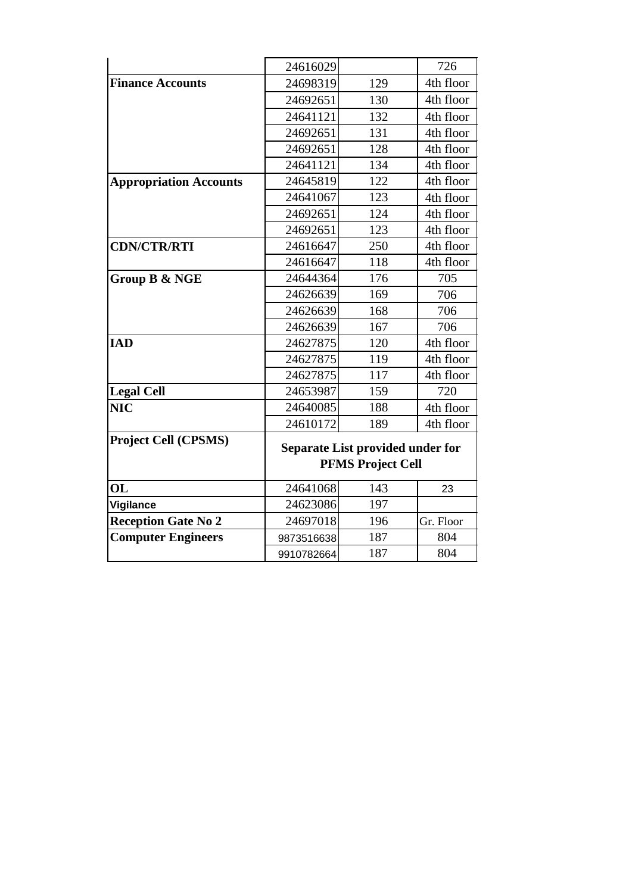| 24616029                 |     | 726                              |  |
|--------------------------|-----|----------------------------------|--|
| 24698319                 | 129 | 4th floor                        |  |
| 24692651                 | 130 | 4th floor                        |  |
| 24641121                 | 132 | 4th floor                        |  |
| 24692651                 | 131 | 4th floor                        |  |
| 24692651                 | 128 | 4th floor                        |  |
| 24641121                 | 134 | 4th floor                        |  |
| 24645819                 | 122 | 4th floor                        |  |
| 24641067                 | 123 | 4th floor                        |  |
| 24692651                 | 124 | 4th floor                        |  |
| 24692651                 | 123 | 4th floor                        |  |
| 24616647                 | 250 | 4th floor                        |  |
| 24616647                 | 118 | 4th floor                        |  |
| 24644364                 | 176 | 705                              |  |
| 24626639                 | 169 | 706                              |  |
| 24626639                 | 168 | 706                              |  |
| 24626639                 | 167 | 706                              |  |
| 24627875                 | 120 | 4th floor                        |  |
| 24627875                 | 119 | 4th floor                        |  |
| 24627875                 | 117 | 4th floor                        |  |
| 24653987                 | 159 | 720                              |  |
| 24640085                 | 188 | 4th floor                        |  |
| 24610172                 | 189 | 4th floor                        |  |
|                          |     |                                  |  |
| <b>PFMS Project Cell</b> |     |                                  |  |
| 24641068                 | 143 | 23                               |  |
| 24623086                 | 197 |                                  |  |
| 24697018                 | 196 | Gr. Floor                        |  |
| 9873516638               | 187 | 804                              |  |
| 9910782664               | 187 | 804                              |  |
|                          |     | Separate List provided under for |  |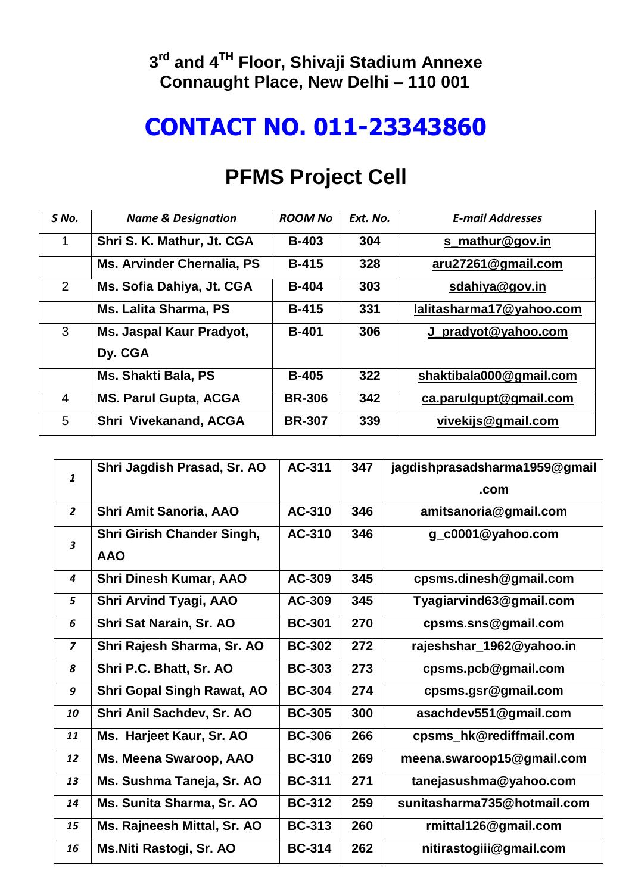#### **rd and 4TH Floor, Shivaji Stadium Annexe Connaught Place, New Delhi – 110 001**

### **CONTACT NO. 011-23343860**

| S No.       | <b>Name &amp; Designation</b>     | <b>ROOM No</b> | Ext. No. | <b>E-mail Addresses</b>  |
|-------------|-----------------------------------|----------------|----------|--------------------------|
| $\mathbf 1$ | Shri S. K. Mathur, Jt. CGA        | <b>B-403</b>   | 304      | s mathur@gov.in          |
|             | <b>Ms. Arvinder Chernalia, PS</b> | $B-415$        | 328      | aru27261@gmail.com       |
| 2           | Ms. Sofia Dahiya, Jt. CGA         | <b>B-404</b>   | 303      | sdahiya@gov.in           |
|             | <b>Ms. Lalita Sharma, PS</b>      | <b>B-415</b>   | 331      | lalitasharma17@yahoo.com |
| 3           | Ms. Jaspal Kaur Pradyot,          | <b>B-401</b>   | 306      | J_pradyot@yahoo.com      |
|             | Dy. CGA                           |                |          |                          |
|             | <b>Ms. Shakti Bala, PS</b>        | <b>B-405</b>   | 322      | shaktibala000@gmail.com  |
| 4           | <b>MS. Parul Gupta, ACGA</b>      | <b>BR-306</b>  | 342      | ca.parulgupt@gmail.com   |
| 5           | Shri Vivekanand, ACGA             | <b>BR-307</b>  | 339      | vivekijs@gmail.com       |

#### **PFMS Project Cell**

| $\mathbf{1}$   | Shri Jagdish Prasad, Sr. AO       | AC-311        | 347 | jagdishprasadsharma1959@gmail |
|----------------|-----------------------------------|---------------|-----|-------------------------------|
|                |                                   |               |     | .com                          |
| $\overline{2}$ | Shri Amit Sanoria, AAO            | AC-310        | 346 | amitsanoria@gmail.com         |
| 3              | Shri Girish Chander Singh,        | AC-310        | 346 | g_c0001@yahoo.com             |
|                | <b>AAO</b>                        |               |     |                               |
| 4              | <b>Shri Dinesh Kumar, AAO</b>     | AC-309        | 345 | cpsms.dinesh@gmail.com        |
| 5              | <b>Shri Arvind Tyagi, AAO</b>     | AC-309        | 345 | Tyagiarvind63@gmail.com       |
| 6              | Shri Sat Narain, Sr. AO           | <b>BC-301</b> | 270 | cpsms.sns@gmail.com           |
| $\overline{z}$ | Shri Rajesh Sharma, Sr. AO        | <b>BC-302</b> | 272 | rajeshshar_1962@yahoo.in      |
| 8              | Shri P.C. Bhatt, Sr. AO           | <b>BC-303</b> | 273 | cpsms.pcb@gmail.com           |
| 9              | <b>Shri Gopal Singh Rawat, AO</b> | <b>BC-304</b> | 274 | cpsms.gsr@gmail.com           |
| 10             | Shri Anil Sachdev, Sr. AO         | <b>BC-305</b> | 300 | asachdev551@gmail.com         |
| 11             | Ms. Harjeet Kaur, Sr. AO          | <b>BC-306</b> | 266 | cpsms_hk@rediffmail.com       |
| 12             | Ms. Meena Swaroop, AAO            | <b>BC-310</b> | 269 | meena.swaroop15@gmail.com     |
| 13             | Ms. Sushma Taneja, Sr. AO         | <b>BC-311</b> | 271 | tanejasushma@yahoo.com        |
| 14             | Ms. Sunita Sharma, Sr. AO         | <b>BC-312</b> | 259 | sunitasharma735@hotmail.com   |
| 15             | Ms. Rajneesh Mittal, Sr. AO       | <b>BC-313</b> | 260 | rmittal126@gmail.com          |
| 16             | Ms.Niti Rastogi, Sr. AO           | <b>BC-314</b> | 262 | nitirastogiii@gmail.com       |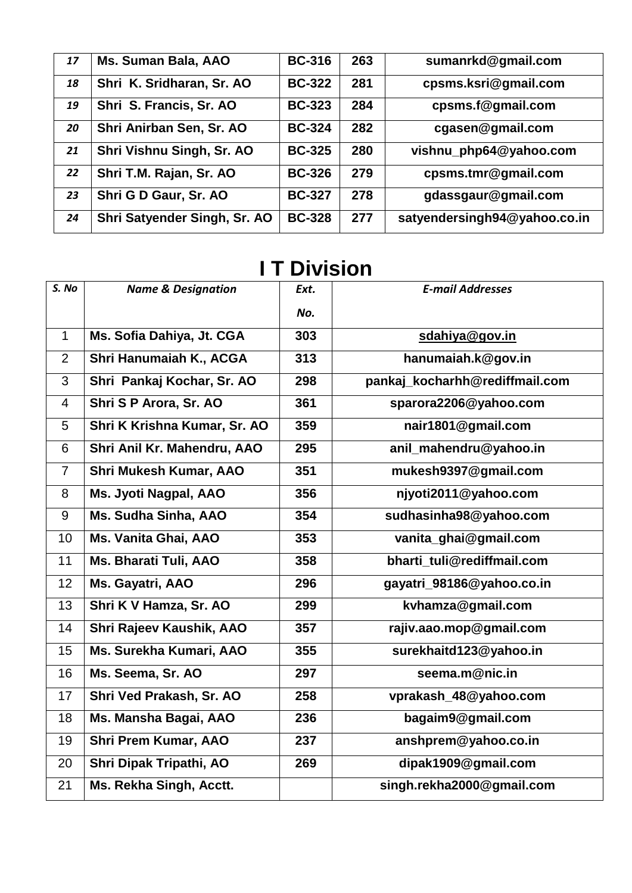| 17 | Ms. Suman Bala, AAO          | <b>BC-316</b> | 263 | sumanrkd@gmail.com           |
|----|------------------------------|---------------|-----|------------------------------|
| 18 | Shri K. Sridharan, Sr. AO    | <b>BC-322</b> | 281 | cpsms.ksri@gmail.com         |
| 19 | Shri S. Francis, Sr. AO      | <b>BC-323</b> | 284 | cpsms.f@gmail.com            |
| 20 | Shri Anirban Sen, Sr. AO     | <b>BC-324</b> | 282 | cgasen@gmail.com             |
| 21 | Shri Vishnu Singh, Sr. AO    | <b>BC-325</b> | 280 | vishnu_php64@yahoo.com       |
| 22 | Shri T.M. Rajan, Sr. AO      | <b>BC-326</b> | 279 | cpsms.tmr@gmail.com          |
| 23 | Shri G D Gaur, Sr. AO        | <b>BC-327</b> | 278 | gdassgaur@gmail.com          |
| 24 | Shri Satyender Singh, Sr. AO | <b>BC-328</b> | 277 | satyendersingh94@yahoo.co.in |

#### **I T Division**

| S. No          | <b>Name &amp; Designation</b> | Ext. | <b>E-mail Addresses</b>        |
|----------------|-------------------------------|------|--------------------------------|
|                |                               | No.  |                                |
| $\mathbf{1}$   | Ms. Sofia Dahiya, Jt. CGA     | 303  | sdahiya@gov.in                 |
| $\overline{2}$ | Shri Hanumaiah K., ACGA       | 313  | hanumaiah.k@gov.in             |
| 3              | Shri Pankaj Kochar, Sr. AO    | 298  | pankaj_kocharhh@rediffmail.com |
| $\overline{4}$ | Shri S P Arora, Sr. AO        | 361  | sparora2206@yahoo.com          |
| 5              | Shri K Krishna Kumar, Sr. AO  | 359  | nair1801@gmail.com             |
| 6              | Shri Anil Kr. Mahendru, AAO   | 295  | anil_mahendru@yahoo.in         |
| $\overline{7}$ | <b>Shri Mukesh Kumar, AAO</b> | 351  | mukesh9397@gmail.com           |
| 8              | Ms. Jyoti Nagpal, AAO         | 356  | njyoti2011@yahoo.com           |
| 9              | Ms. Sudha Sinha, AAO          | 354  | sudhasinha98@yahoo.com         |
| 10             | Ms. Vanita Ghai, AAO          | 353  | vanita_ghai@gmail.com          |
| 11             | Ms. Bharati Tuli, AAO         | 358  | bharti_tuli@rediffmail.com     |
| 12             | Ms. Gayatri, AAO              | 296  | gayatri_98186@yahoo.co.in      |
| 13             | Shri K V Hamza, Sr. AO        | 299  | kvhamza@gmail.com              |
| 14             | Shri Rajeev Kaushik, AAO      | 357  | rajiv.aao.mop@gmail.com        |
| 15             | Ms. Surekha Kumari, AAO       | 355  | surekhaitd123@yahoo.in         |
| 16             | Ms. Seema, Sr. AO             | 297  | seema.m@nic.in                 |
| 17             | Shri Ved Prakash, Sr. AO      | 258  | vprakash_48@yahoo.com          |
| 18             | Ms. Mansha Bagai, AAO         | 236  | bagaim9@gmail.com              |
| 19             | <b>Shri Prem Kumar, AAO</b>   | 237  | anshprem@yahoo.co.in           |
| 20             | Shri Dipak Tripathi, AO       | 269  | dipak1909@gmail.com            |
| 21             | Ms. Rekha Singh, Acctt.       |      | singh.rekha2000@gmail.com      |